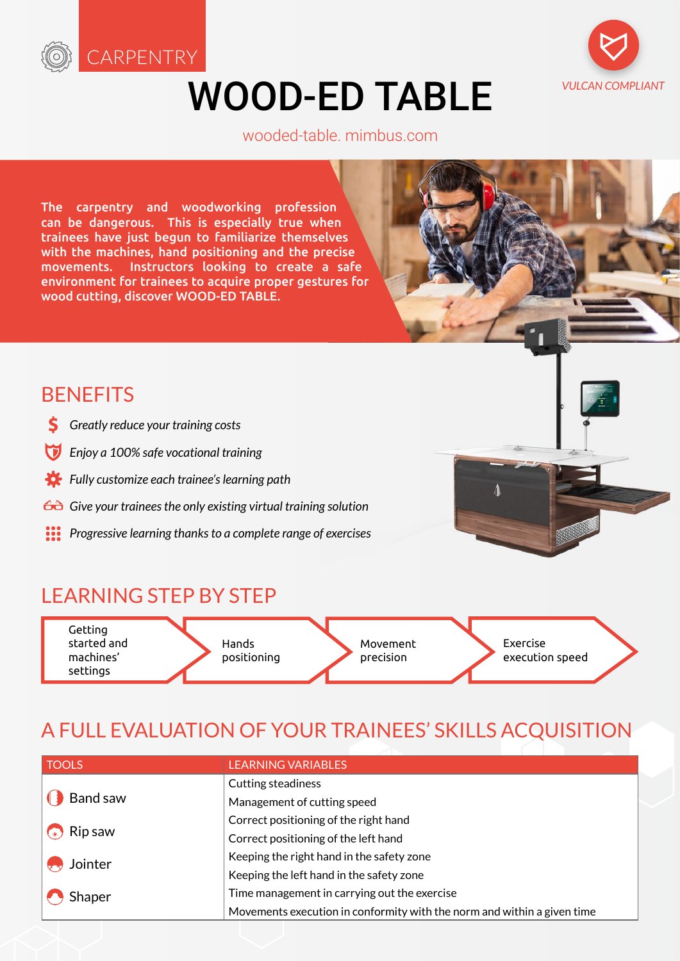

# WOOD-ED TABLE



#### [wooded-table. mimbus.com](http://wooded-table.mimbus.com)

The carpentry and woodworking profession can be dangerous. This is especially true when trainees have just begun to familiarize themselves with the machines, hand positioning and the precise movements. Instructors looking to create a safe environment for trainees to acquire proper gestures for wood cutting, discover WOOD-ED TABLE.

### **BENEFITS**

- *Greatly reduce your training costs*
- *Enjoy a 100% safe vocational training*
- *Fully customize each trainee's learning path*
- *Give your trainees the only existing virtual training solution*
- *Progressive learning thanks to a complete range of exercises*



### LEARNING STEP BY STEP

Getting started and machines' settings Hands positioning Movement precision Exercise execution speed

# A FULL EVALUATION OF YOUR TRAINEES' SKILLS ACQUISITION

| <b>TOOLS</b> | <b>LEARNING VARIABLES</b>                                               |
|--------------|-------------------------------------------------------------------------|
|              | <b>Cutting steadiness</b>                                               |
| Band saw     | Management of cutting speed                                             |
| Rip saw      | Correct positioning of the right hand                                   |
|              | Correct positioning of the left hand                                    |
| Jointer      | Keeping the right hand in the safety zone                               |
|              | Keeping the left hand in the safety zone                                |
| Shaper       | Time management in carrying out the exercise                            |
|              | Movements execution in conformity with the norm and within a given time |